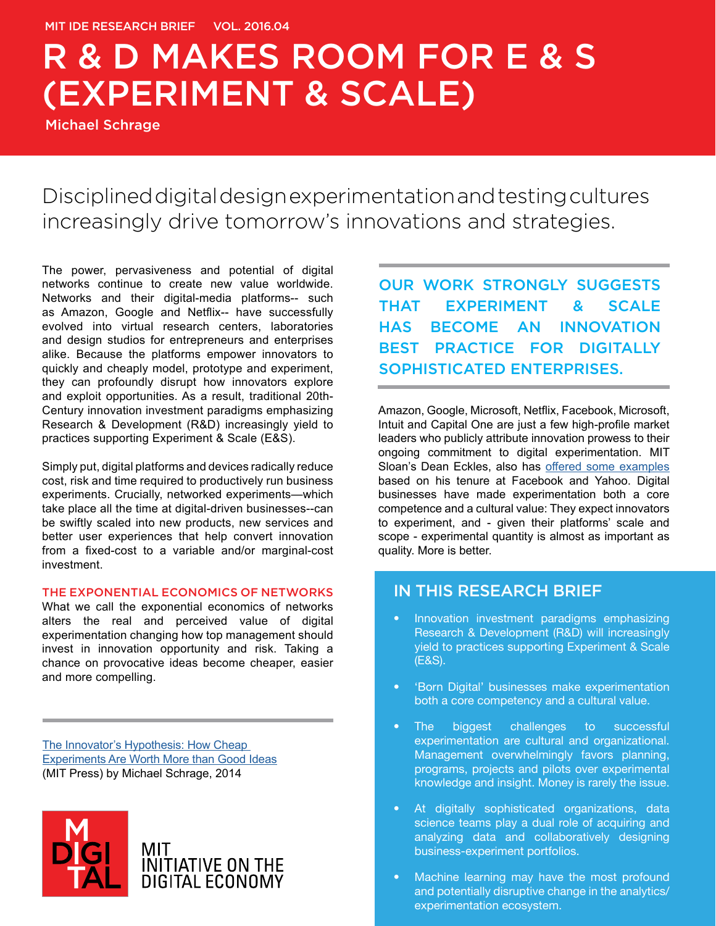Michael Schrage

Disciplined digital design experimentation and testing cultures increasingly drive tomorrow's innovations and strategies.

The power, pervasiveness and potential of digital networks continue to create new value worldwide. Networks and their digital-media platforms-- such as Amazon, Google and Netflix-- have successfully evolved into virtual research centers, laboratories and design studios for entrepreneurs and enterprises alike. Because the platforms empower innovators to quickly and cheaply model, prototype and experiment, they can profoundly disrupt how innovators explore and exploit opportunities. As a result, traditional 20th-Century innovation investment paradigms emphasizing Research & Development (R&D) increasingly yield to practices supporting Experiment & Scale (E&S).

Simply put, digital platforms and devices radically reduce cost, risk and time required to productively run business experiments. Crucially, networked experiments—which take place all the time at digital-driven businesses--can be swiftly scaled into new products, new services and better user experiences that help convert innovation from a fixed-cost to a variable and/or marginal-cost investment.

#### THE EXPONENTIAL ECONOMICS OF NETWORKS

What we call the exponential economics of networks alters the real and perceived value of digital experimentation changing how top management should invest in innovation opportunity and risk. Taking a chance on provocative ideas become cheaper, easier and more compelling.

The Innovator's Hypothesis: How Cheap [Experiments Are Worth More than Good Ideas](http://www.amazon.com/Innovators-Hypothesis-Cheap-Experiments-Worth/dp/0262028360) (MIT Press) by Michael Schrage, 2014



MIT INITIATIVE ON THE<br>DIGITAL ECONOMY OUR WORK STRONGLY SUGGESTS THAT EXPERIMENT & SCALE HAS BECOME AN INNOVATION BEST PRACTICE FOR DIGITALLY SOPHISTICATED ENTERPRISES.

Amazon, Google, Microsoft, Netflix, Facebook, Microsoft, Intuit and Capital One are just a few high-profile market leaders who publicly attribute innovation prowess to their ongoing commitment to digital experimentation. MIT Sloan's Dean Eckles, also has [offered some examples](http://digitalcommunity.mit.edu/community/latest_research/blog/2015/10/07/standardizing-design-for-online-field-testing)  based on his tenure at Facebook and Yahoo. Digital businesses have made experimentation both a core competence and a cultural value: They expect innovators to experiment, and - given their platforms' scale and scope - experimental quantity is almost as important as quality. More is better.

#### IN THIS RESEARCH BRIEF

- Innovation investment paradigms emphasizing Research & Development (R&D) will increasingly yield to practices supporting Experiment & Scale (E&S).
- 'Born Digital' businesses make experimentation both a core competency and a cultural value.
- The biggest challenges to successful experimentation are cultural and organizational. Management overwhelmingly favors planning, programs, projects and pilots over experimental knowledge and insight. Money is rarely the issue.
- At digitally sophisticated organizations, data science teams play a dual role of acquiring and analyzing data and collaboratively designing business-experiment portfolios.
- Machine learning may have the most profound and potentially disruptive change in the analytics/ experimentation ecosystem.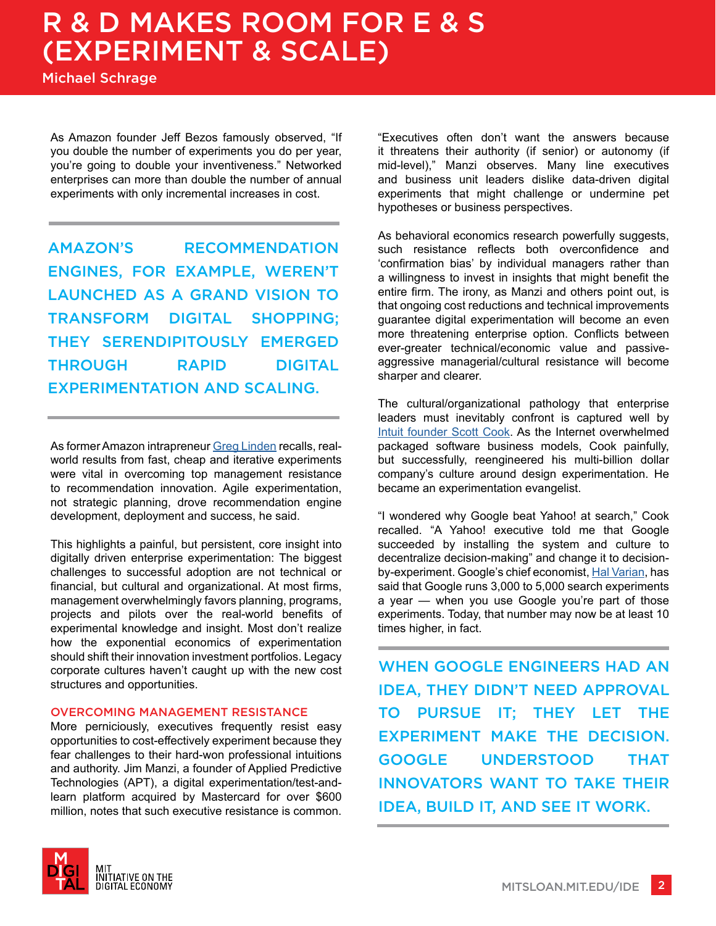Michael Schrage

As Amazon founder Jeff Bezos famously observed, "If you double the number of experiments you do per year, you're going to double your inventiveness." Networked enterprises can more than double the number of annual experiments with only incremental increases in cost.

AMAZON'S RECOMMENDATION ENGINES, FOR EXAMPLE, WEREN'T LAUNCHED AS A GRAND VISION TO TRANSFORM DIGITAL SHOPPING; THEY SERENDIPITOUSLY EMERGED THROUGH RAPID DIGITAL EXPERIMENTATION AND SCALING.

As former Amazon intrapreneur [Greg Linden](http://glinden.blogspot.com/2006/04/early-amazon-shopping-cart.html) recalls, realworld results from fast, cheap and iterative experiments were vital in overcoming top management resistance to recommendation innovation. Agile experimentation, not strategic planning, drove recommendation engine development, deployment and success, he said.

This highlights a painful, but persistent, core insight into digitally driven enterprise experimentation: The biggest challenges to successful adoption are not technical or financial, but cultural and organizational. At most firms, management overwhelmingly favors planning, programs, projects and pilots over the real-world benefits of experimental knowledge and insight. Most don't realize how the exponential economics of experimentation should shift their innovation investment portfolios. Legacy corporate cultures haven't caught up with the new cost structures and opportunities.

#### OVERCOMING MANAGEMENT RESISTANCE

More perniciously, executives frequently resist easy opportunities to cost-effectively experiment because they fear challenges to their hard-won professional intuitions and authority. Jim Manzi, a founder of Applied Predictive Technologies (APT), a digital experimentation/test-andlearn platform acquired by Mastercard for over \$600 million, notes that such executive resistance is common.



As behavioral economics research powerfully suggests, such resistance reflects both overconfidence and 'confirmation bias' by individual managers rather than a willingness to invest in insights that might benefit the entire firm. The irony, as Manzi and others point out, is that ongoing cost reductions and technical improvements guarantee digital experimentation will become an even more threatening enterprise option. Conflicts between ever-greater technical/economic value and passiveaggressive managerial/cultural resistance will become sharper and clearer.

The cultural/organizational pathology that enterprise leaders must inevitably confront is captured well by [Intuit founder Scott Cook](http://www.intuit.com/company/executives/scott_cook/). As the Internet overwhelmed packaged software business models, Cook painfully, but successfully, reengineered his multi-billion dollar company's culture around design experimentation. He became an experimentation evangelist.

"I wondered why Google beat Yahoo! at search," Cook recalled. "A Yahoo! executive told me that Google succeeded by installing the system and culture to decentralize decision-making" and change it to decision-by-experiment. Google's chief economist, [Hal Varian](http://digitalcommunity.mit.edu/docs/DOC-1111), has said that Google runs 3,000 to 5,000 search experiments a year — when you use Google you're part of those experiments. Today, that number may now be at least 10 times higher, in fact.

WHEN GOOGLE ENGINEERS HAD AN IDEA, THEY DIDN'T NEED APPROVAL TO PURSUE IT; THEY LET THE EXPERIMENT MAKE THE DECISION. GOOGLE UNDERSTOOD THAT INNOVATORS WANT TO TAKE THEIR IDEA, BUILD IT, AND SEE IT WORK.

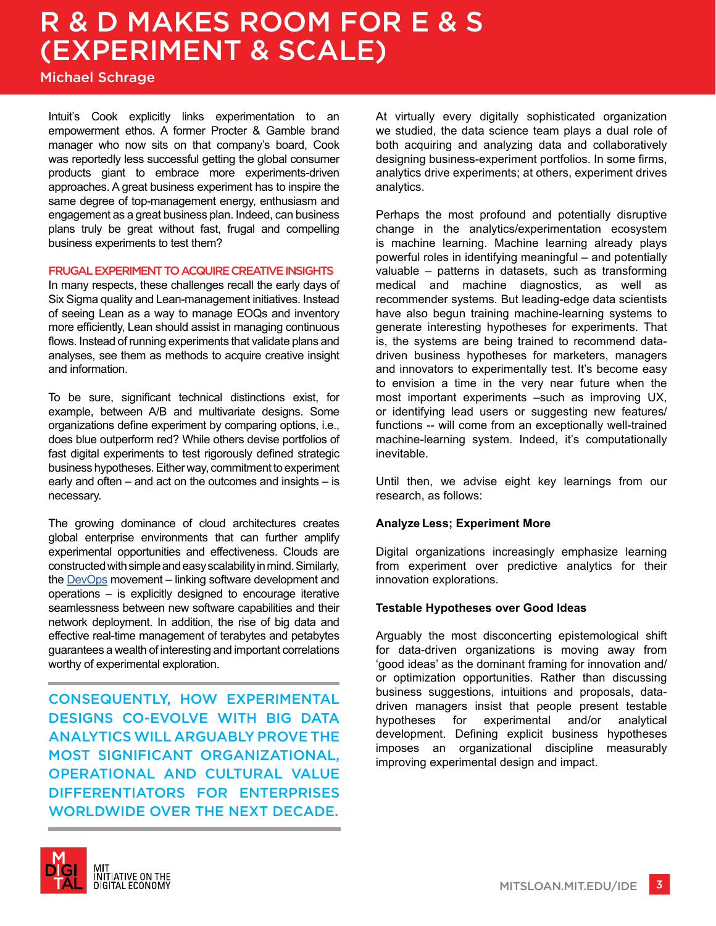Michael Schrage

Intuit's Cook explicitly links experimentation to an empowerment ethos. A former Procter & Gamble brand manager who now sits on that company's board, Cook was reportedly less successful getting the global consumer products giant to embrace more experiments-driven approaches. A great business experiment has to inspire the same degree of top-management energy, enthusiasm and engagement as a great business plan. Indeed, can business plans truly be great without fast, frugal and compelling business experiments to test them?

#### FRUGAL EXPERIMENT TO ACQUIRE CREATIVE INSIGHTS

In many respects, these challenges recall the early days of Six Sigma quality and Lean-management initiatives. Instead of seeing Lean as a way to manage EOQs and inventory more efficiently, Lean should assist in managing continuous flows. Instead of running experiments that validate plans and analyses, see them as methods to acquire creative insight and information.

To be sure, significant technical distinctions exist, for example, between A/B and multivariate designs. Some organizations define experiment by comparing options, i.e., does blue outperform red? While others devise portfolios of fast digital experiments to test rigorously defined strategic business hypotheses. Either way, commitment to experiment early and often – and act on the outcomes and insights – is necessary.

The growing dominance of cloud architectures creates global enterprise environments that can further amplify experimental opportunities and effectiveness. Clouds are constructed with simple and easy scalability in mind. Similarly, the [DevOps](http://itrevolution.com/the-three-ways-principles-underpinning-devops/) movement – linking software development and operations – is explicitly designed to encourage iterative seamlessness between new software capabilities and their network deployment. In addition, the rise of big data and effective real-time management of terabytes and petabytes guarantees a wealth of interesting and important correlations worthy of experimental exploration.

CONSEQUENTLY, HOW EXPERIMENTAL DESIGNS CO-EVOLVE WITH BIG DATA ANALYTICS WILL ARGUABLY PROVE THE MOST SIGNIFICANT ORGANIZATIONAL, OPERATIONAL AND CULTURAL VALUE DIFFERENTIATORS FOR ENTERPRISES WORLDWIDE OVER THE NEXT DECADE.

At virtually every digitally sophisticated organization we studied, the data science team plays a dual role of both acquiring and analyzing data and collaboratively designing business-experiment portfolios. In some firms, analytics drive experiments; at others, experiment drives analytics.

Perhaps the most profound and potentially disruptive change in the analytics/experimentation ecosystem is machine learning. Machine learning already plays powerful roles in identifying meaningful – and potentially valuable – patterns in datasets, such as transforming medical and machine diagnostics, as well as recommender systems. But leading-edge data scientists have also begun training machine-learning systems to generate interesting hypotheses for experiments. That is, the systems are being trained to recommend datadriven business hypotheses for marketers, managers and innovators to experimentally test. It's become easy to envision a time in the very near future when the most important experiments –such as improving UX, or identifying lead users or suggesting new features/ functions -- will come from an exceptionally well-trained machine-learning system. Indeed, it's computationally inevitable.

Until then, we advise eight key learnings from our research, as follows:

#### **Analyze Less; Experiment More**

Digital organizations increasingly emphasize learning from experiment over predictive analytics for their innovation explorations.

#### **Testable Hypotheses over Good Ideas**

Arguably the most disconcerting epistemological shift for data-driven organizations is moving away from 'good ideas' as the dominant framing for innovation and/ or optimization opportunities. Rather than discussing business suggestions, intuitions and proposals, datadriven managers insist that people present testable<br>hypotheses for experimental and/or analytical hypotheses for experimental and/or analytical development. Defining explicit business hypotheses imposes an organizational discipline measurably improving experimental design and impact.